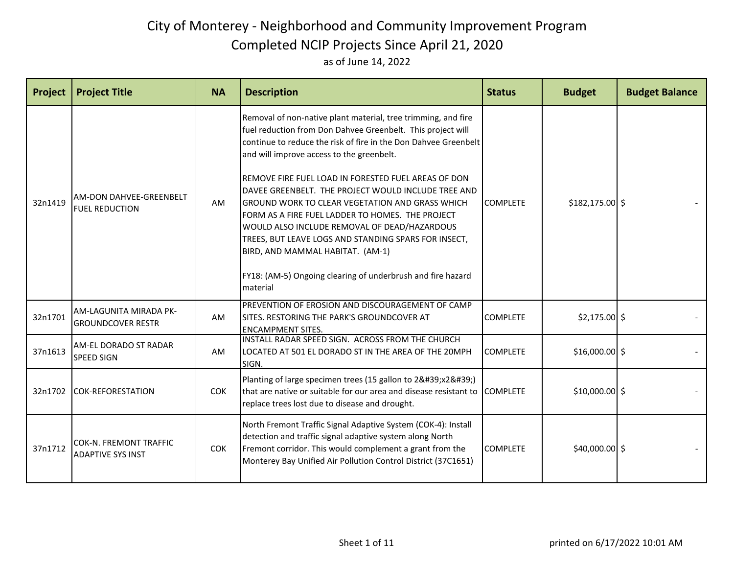| Project | <b>Project Title</b>                                      | <b>NA</b>  | <b>Description</b>                                                                                                                                                                                                                                                                                                                                                                                                                                                                                                                                                                                                                                                                       | <b>Status</b>   | <b>Budget</b>    | <b>Budget Balance</b> |
|---------|-----------------------------------------------------------|------------|------------------------------------------------------------------------------------------------------------------------------------------------------------------------------------------------------------------------------------------------------------------------------------------------------------------------------------------------------------------------------------------------------------------------------------------------------------------------------------------------------------------------------------------------------------------------------------------------------------------------------------------------------------------------------------------|-----------------|------------------|-----------------------|
| 32n1419 | <b>AM-DON DAHVEE-GREENBELT</b><br><b>FUEL REDUCTION</b>   | AM         | Removal of non-native plant material, tree trimming, and fire<br>fuel reduction from Don Dahvee Greenbelt. This project will<br>continue to reduce the risk of fire in the Don Dahvee Greenbelt<br>and will improve access to the greenbelt.<br>REMOVE FIRE FUEL LOAD IN FORESTED FUEL AREAS OF DON<br>DAVEE GREENBELT. THE PROJECT WOULD INCLUDE TREE AND<br>GROUND WORK TO CLEAR VEGETATION AND GRASS WHICH<br>FORM AS A FIRE FUEL LADDER TO HOMES. THE PROJECT<br>WOULD ALSO INCLUDE REMOVAL OF DEAD/HAZARDOUS<br>TREES, BUT LEAVE LOGS AND STANDING SPARS FOR INSECT,<br>BIRD, AND MAMMAL HABITAT. (AM-1)<br>FY18: (AM-5) Ongoing clearing of underbrush and fire hazard<br>material | <b>COMPLETE</b> | $$182,175.00$ \$ |                       |
| 32n1701 | AM-LAGUNITA MIRADA PK-<br><b>GROUNDCOVER RESTR</b>        | AM         | PREVENTION OF EROSION AND DISCOURAGEMENT OF CAMP<br>SITES. RESTORING THE PARK'S GROUNDCOVER AT<br><b>ENCAMPMENT SITES.</b>                                                                                                                                                                                                                                                                                                                                                                                                                                                                                                                                                               | <b>COMPLETE</b> | $$2,175.00$ \$   |                       |
| 37n1613 | AM-EL DORADO ST RADAR<br><b>SPEED SIGN</b>                | AM         | INSTALL RADAR SPEED SIGN. ACROSS FROM THE CHURCH<br>LOCATED AT 501 EL DORADO ST IN THE AREA OF THE 20MPH<br>SIGN.                                                                                                                                                                                                                                                                                                                                                                                                                                                                                                                                                                        | <b>COMPLETE</b> | $$16,000.00$ \$  |                       |
| 32n1702 | <b>COK-REFORESTATION</b>                                  | <b>COK</b> | Planting of large specimen trees (15 gallon to 2'x2')<br>that are native or suitable for our area and disease resistant to<br>replace trees lost due to disease and drought.                                                                                                                                                                                                                                                                                                                                                                                                                                                                                                             | <b>COMPLETE</b> | $$10,000.00$ \$  |                       |
| 37n1712 | <b>COK-N. FREMONT TRAFFIC</b><br><b>ADAPTIVE SYS INST</b> | <b>COK</b> | North Fremont Traffic Signal Adaptive System (COK-4): Install<br>detection and traffic signal adaptive system along North<br>Fremont corridor. This would complement a grant from the<br>Monterey Bay Unified Air Pollution Control District (37C1651)                                                                                                                                                                                                                                                                                                                                                                                                                                   | <b>COMPLETE</b> | $$40,000.00$ \$  |                       |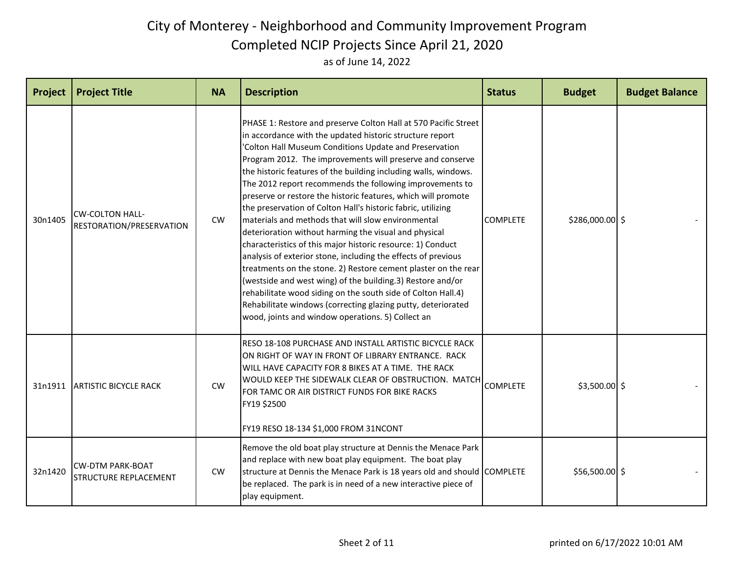| Project | <b>Project Title</b>                                    | <b>NA</b> | <b>Description</b>                                                                                                                                                                                                                                                                                                                                                                                                                                                                                                                                                                                                                                                                                                                                                                                                                                                                                                                                                                                                                                                                     | <b>Status</b>   | <b>Budget</b>   | <b>Budget Balance</b> |
|---------|---------------------------------------------------------|-----------|----------------------------------------------------------------------------------------------------------------------------------------------------------------------------------------------------------------------------------------------------------------------------------------------------------------------------------------------------------------------------------------------------------------------------------------------------------------------------------------------------------------------------------------------------------------------------------------------------------------------------------------------------------------------------------------------------------------------------------------------------------------------------------------------------------------------------------------------------------------------------------------------------------------------------------------------------------------------------------------------------------------------------------------------------------------------------------------|-----------------|-----------------|-----------------------|
| 30n1405 | <b>CW-COLTON HALL-</b><br>RESTORATION/PRESERVATION      | <b>CW</b> | PHASE 1: Restore and preserve Colton Hall at 570 Pacific Street<br>in accordance with the updated historic structure report<br>'Colton Hall Museum Conditions Update and Preservation<br>Program 2012. The improvements will preserve and conserve<br>the historic features of the building including walls, windows.<br>The 2012 report recommends the following improvements to<br>preserve or restore the historic features, which will promote<br>the preservation of Colton Hall's historic fabric, utilizing<br>materials and methods that will slow environmental<br>deterioration without harming the visual and physical<br>characteristics of this major historic resource: 1) Conduct<br>analysis of exterior stone, including the effects of previous<br>treatments on the stone. 2) Restore cement plaster on the rear<br>(westside and west wing) of the building.3) Restore and/or<br>rehabilitate wood siding on the south side of Colton Hall.4)<br>Rehabilitate windows (correcting glazing putty, deteriorated<br>wood, joints and window operations. 5) Collect an | <b>COMPLETE</b> | \$286,000.00 \$ |                       |
| 31n1911 | <b>ARTISTIC BICYCLE RACK</b>                            | CW        | RESO 18-108 PURCHASE AND INSTALL ARTISTIC BICYCLE RACK<br>ON RIGHT OF WAY IN FRONT OF LIBRARY ENTRANCE. RACK<br>IWILL HAVE CAPACITY FOR 8 BIKES AT A TIME. THE RACK<br>WOULD KEEP THE SIDEWALK CLEAR OF OBSTRUCTION. MATCH<br>FOR TAMC OR AIR DISTRICT FUNDS FOR BIKE RACKS<br>FY19 \$2500<br>FY19 RESO 18-134 \$1,000 FROM 31NCONT                                                                                                                                                                                                                                                                                                                                                                                                                                                                                                                                                                                                                                                                                                                                                    | <b>COMPLETE</b> | $$3,500.00$ \$  |                       |
| 32n1420 | <b>CW-DTM PARK-BOAT</b><br><b>STRUCTURE REPLACEMENT</b> | <b>CW</b> | Remove the old boat play structure at Dennis the Menace Park<br>and replace with new boat play equipment. The boat play<br>structure at Dennis the Menace Park is 18 years old and should COMPLETE<br>be replaced. The park is in need of a new interactive piece of<br>play equipment.                                                                                                                                                                                                                                                                                                                                                                                                                                                                                                                                                                                                                                                                                                                                                                                                |                 | $$56,500.00$ \$ |                       |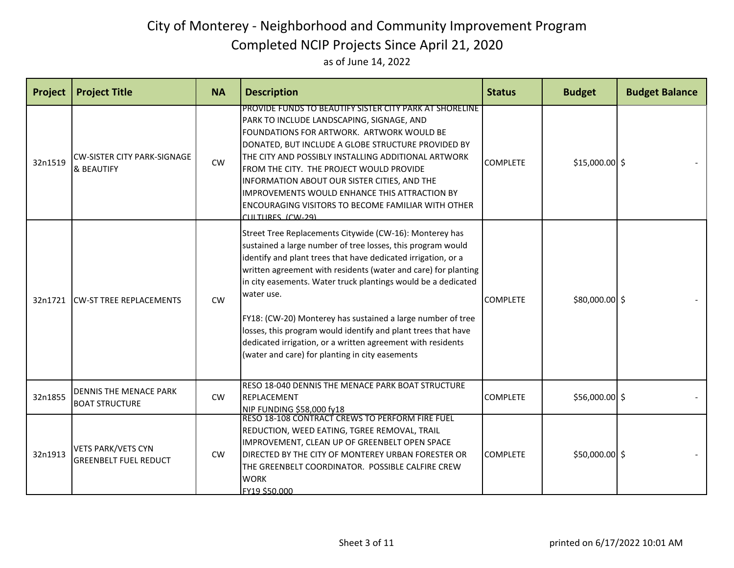| Project | <b>Project Title</b>                                      | <b>NA</b> | <b>Description</b>                                                                                                                                                                                                                                                                                                                                                                                                                                                                                                                                                                         | <b>Status</b>   | <b>Budget</b>   | <b>Budget Balance</b> |
|---------|-----------------------------------------------------------|-----------|--------------------------------------------------------------------------------------------------------------------------------------------------------------------------------------------------------------------------------------------------------------------------------------------------------------------------------------------------------------------------------------------------------------------------------------------------------------------------------------------------------------------------------------------------------------------------------------------|-----------------|-----------------|-----------------------|
| 32n1519 | <b>CW-SISTER CITY PARK-SIGNAGE</b><br>& BEAUTIFY          | CW        | PROVIDE FUNDS TO BEAUTIFY SISTER CITY PARK AT SHORELINE.<br>PARK TO INCLUDE LANDSCAPING, SIGNAGE, AND<br>FOUNDATIONS FOR ARTWORK. ARTWORK WOULD BE<br>DONATED, BUT INCLUDE A GLOBE STRUCTURE PROVIDED BY<br>THE CITY AND POSSIBLY INSTALLING ADDITIONAL ARTWORK<br>FROM THE CITY. THE PROJECT WOULD PROVIDE<br>INFORMATION ABOUT OUR SISTER CITIES, AND THE<br>IMPROVEMENTS WOULD ENHANCE THIS ATTRACTION BY<br><b>ENCOURAGING VISITORS TO BECOME FAMILIAR WITH OTHER</b><br>CULTURES (CW-29)                                                                                              | <b>COMPLETE</b> | $$15,000.00$ \$ |                       |
| 32n1721 | <b>CW-ST TREE REPLACEMENTS</b>                            | CW        | Street Tree Replacements Citywide (CW-16): Monterey has<br>sustained a large number of tree losses, this program would<br>identify and plant trees that have dedicated irrigation, or a<br>written agreement with residents (water and care) for planting<br>in city easements. Water truck plantings would be a dedicated<br>water use.<br>FY18: (CW-20) Monterey has sustained a large number of tree<br>losses, this program would identify and plant trees that have<br>dedicated irrigation, or a written agreement with residents<br>(water and care) for planting in city easements | <b>COMPLETE</b> | \$80,000.00 \$  |                       |
| 32n1855 | DENNIS THE MENACE PARK<br><b>BOAT STRUCTURE</b>           | CW        | RESO 18-040 DENNIS THE MENACE PARK BOAT STRUCTURE<br>REPLACEMENT<br>NIP FUNDING \$58,000 fy18                                                                                                                                                                                                                                                                                                                                                                                                                                                                                              | <b>COMPLETE</b> | $$56,000.00$ \$ |                       |
| 32n1913 | <b>VETS PARK/VETS CYN</b><br><b>GREENBELT FUEL REDUCT</b> | <b>CW</b> | RESO 18-108 CONTRACT CREWS TO PERFORM FIRE FUEL<br>REDUCTION, WEED EATING, TGREE REMOVAL, TRAIL<br>IMPROVEMENT, CLEAN UP OF GREENBELT OPEN SPACE<br>DIRECTED BY THE CITY OF MONTEREY URBAN FORESTER OR<br>THE GREENBELT COORDINATOR. POSSIBLE CALFIRE CREW<br><b>WORK</b><br>FY19 \$50,000                                                                                                                                                                                                                                                                                                 | <b>COMPLETE</b> | $$50,000.00$ \$ |                       |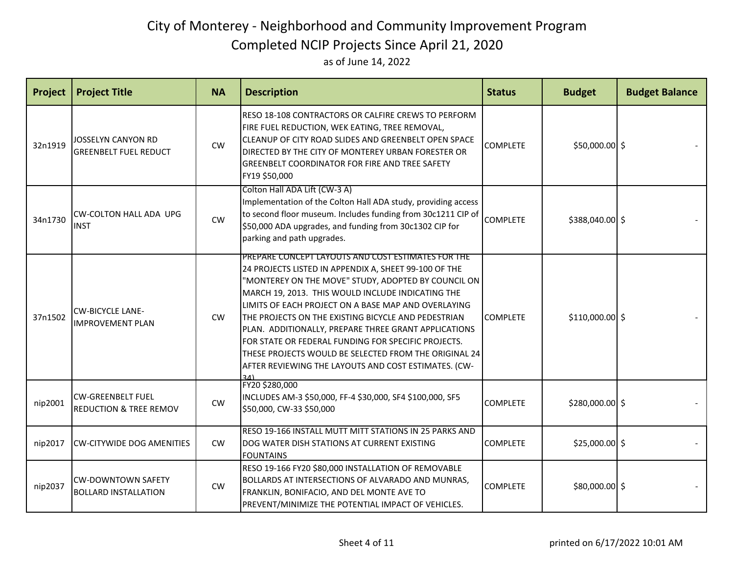| Project | <b>Project Title</b>                                          | <b>NA</b> | <b>Description</b>                                                                                                                                                                                                                                                                                                                                                                                                                                                                                                                                                           | <b>Status</b>   | <b>Budget</b>    | <b>Budget Balance</b> |
|---------|---------------------------------------------------------------|-----------|------------------------------------------------------------------------------------------------------------------------------------------------------------------------------------------------------------------------------------------------------------------------------------------------------------------------------------------------------------------------------------------------------------------------------------------------------------------------------------------------------------------------------------------------------------------------------|-----------------|------------------|-----------------------|
| 32n1919 | JOSSELYN CANYON RD<br><b>GREENBELT FUEL REDUCT</b>            | CW        | RESO 18-108 CONTRACTORS OR CALFIRE CREWS TO PERFORM<br>FIRE FUEL REDUCTION, WEK EATING, TREE REMOVAL,<br>CLEANUP OF CITY ROAD SLIDES AND GREENBELT OPEN SPACE<br>DIRECTED BY THE CITY OF MONTEREY URBAN FORESTER OR<br><b>GREENBELT COORDINATOR FOR FIRE AND TREE SAFETY</b><br>FY19 \$50,000                                                                                                                                                                                                                                                                                | <b>COMPLETE</b> | \$50,000.00 \$   |                       |
| 34n1730 | <b>CW-COLTON HALL ADA UPG</b><br><b>INST</b>                  | CW        | Colton Hall ADA Lift (CW-3 A)<br>Implementation of the Colton Hall ADA study, providing access<br>to second floor museum. Includes funding from 30c1211 CIP of<br>\$50,000 ADA upgrades, and funding from 30c1302 CIP for<br>parking and path upgrades.                                                                                                                                                                                                                                                                                                                      | <b>COMPLETE</b> | \$388,040.00 \$  |                       |
| 37n1502 | <b>CW-BICYCLE LANE-</b><br><b>IMPROVEMENT PLAN</b>            | <b>CW</b> | PREPARE CONCEPT LAYOUTS AND COST ESTIMATES FOR THE<br>24 PROJECTS LISTED IN APPENDIX A, SHEET 99-100 OF THE<br>"MONTEREY ON THE MOVE" STUDY, ADOPTED BY COUNCIL ON<br>MARCH 19, 2013. THIS WOULD INCLUDE INDICATING THE<br>LIMITS OF EACH PROJECT ON A BASE MAP AND OVERLAYING<br>THE PROJECTS ON THE EXISTING BICYCLE AND PEDESTRIAN<br>PLAN. ADDITIONALLY, PREPARE THREE GRANT APPLICATIONS<br>FOR STATE OR FEDERAL FUNDING FOR SPECIFIC PROJECTS.<br>THESE PROJECTS WOULD BE SELECTED FROM THE ORIGINAL 24<br>AFTER REVIEWING THE LAYOUTS AND COST ESTIMATES. (CW-<br>ا42 | <b>COMPLETE</b> | $$110,000.00$ \$ |                       |
| nip2001 | <b>CW-GREENBELT FUEL</b><br><b>REDUCTION &amp; TREE REMOV</b> | CW        | FY20 \$280,000<br>INCLUDES AM-3 \$50,000, FF-4 \$30,000, SF4 \$100,000, SF5<br>\$50,000, CW-33 \$50,000                                                                                                                                                                                                                                                                                                                                                                                                                                                                      | <b>COMPLETE</b> | \$280,000.00 \$  |                       |
| nip2017 | <b>CW-CITYWIDE DOG AMENITIES</b>                              | <b>CW</b> | RESO 19-166 INSTALL MUTT MITT STATIONS IN 25 PARKS AND<br>DOG WATER DISH STATIONS AT CURRENT EXISTING<br><b>FOUNTAINS</b>                                                                                                                                                                                                                                                                                                                                                                                                                                                    | <b>COMPLETE</b> | $$25,000.00$ \$  |                       |
| nip2037 | <b>CW-DOWNTOWN SAFETY</b><br><b>BOLLARD INSTALLATION</b>      | <b>CW</b> | RESO 19-166 FY20 \$80,000 INSTALLATION OF REMOVABLE<br><b>BOLLARDS AT INTERSECTIONS OF ALVARADO AND MUNRAS,</b><br>FRANKLIN, BONIFACIO, AND DEL MONTE AVE TO<br>PREVENT/MINIMIZE THE POTENTIAL IMPACT OF VEHICLES.                                                                                                                                                                                                                                                                                                                                                           | <b>COMPLETE</b> | \$80,000.00 \$   |                       |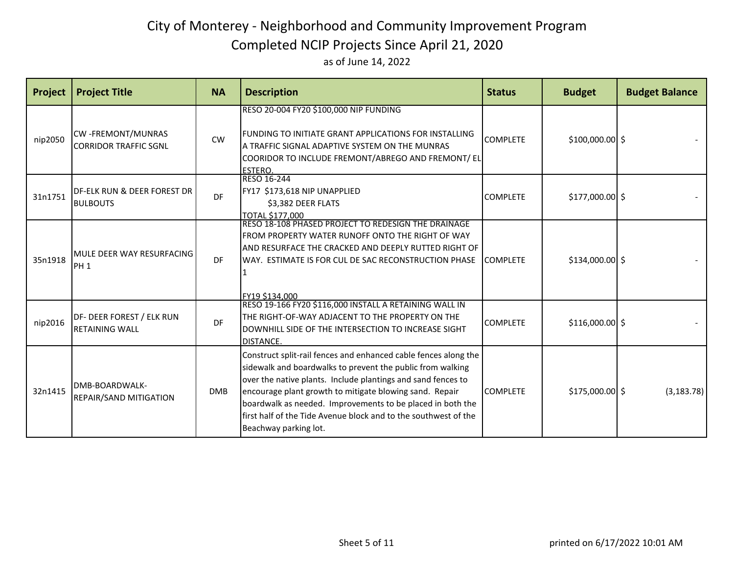| Project | <b>Project Title</b>                                       | <b>NA</b>  | <b>Description</b>                                                                                                                                                                                                                                                                                                                                                                                                 | <b>Status</b>   | <b>Budget</b>    | <b>Budget Balance</b> |
|---------|------------------------------------------------------------|------------|--------------------------------------------------------------------------------------------------------------------------------------------------------------------------------------------------------------------------------------------------------------------------------------------------------------------------------------------------------------------------------------------------------------------|-----------------|------------------|-----------------------|
| nip2050 | <b>CW-FREMONT/MUNRAS</b><br><b>CORRIDOR TRAFFIC SGNL</b>   | CW         | RESO 20-004 FY20 \$100,000 NIP FUNDING<br>FUNDING TO INITIATE GRANT APPLICATIONS FOR INSTALLING<br>A TRAFFIC SIGNAL ADAPTIVE SYSTEM ON THE MUNRAS<br>COORIDOR TO INCLUDE FREMONT/ABREGO AND FREMONT/ EL<br>ESTERO.                                                                                                                                                                                                 | <b>COMPLETE</b> | $$100,000.00$ \$ |                       |
| 31n1751 | <b>IDF-ELK RUN &amp; DEER FOREST DR</b><br><b>BULBOUTS</b> | <b>DF</b>  | RESO 16-244<br>FY17 \$173,618 NIP UNAPPLIED<br>\$3,382 DEER FLATS<br>TOTAL \$177,000                                                                                                                                                                                                                                                                                                                               | <b>COMPLETE</b> | \$177,000.00 \$  |                       |
| 35n1918 | MULE DEER WAY RESURFACING<br>PH <sub>1</sub>               | DF         | RESO 18-108 PHASED PROJECT TO REDESIGN THE DRAINAGE<br>FROM PROPERTY WATER RUNOFF ONTO THE RIGHT OF WAY<br>AND RESURFACE THE CRACKED AND DEEPLY RUTTED RIGHT OF<br>IWAY. ESTIMATE IS FOR CUL DE SAC RECONSTRUCTION PHASE<br>FY19 \$134,000                                                                                                                                                                         | <b>COMPLETE</b> | \$134,000.00 \$  |                       |
| nip2016 | DF- DEER FOREST / ELK RUN<br><b>RETAINING WALL</b>         | DF         | RESO 19-166 FY20 \$116,000 INSTALL A RETAINING WALL IN<br>THE RIGHT-OF-WAY ADJACENT TO THE PROPERTY ON THE<br>DOWNHILL SIDE OF THE INTERSECTION TO INCREASE SIGHT<br><b>DISTANCE.</b>                                                                                                                                                                                                                              | <b>COMPLETE</b> | $$116,000.00$ \$ |                       |
| 32n1415 | DMB-BOARDWALK-<br><b>REPAIR/SAND MITIGATION</b>            | <b>DMB</b> | Construct split-rail fences and enhanced cable fences along the<br>sidewalk and boardwalks to prevent the public from walking<br>over the native plants. Include plantings and sand fences to<br>encourage plant growth to mitigate blowing sand. Repair<br>boardwalk as needed. Improvements to be placed in both the<br>first half of the Tide Avenue block and to the southwest of the<br>Beachway parking lot. | <b>COMPLETE</b> | $$175,000.00$ \$ | (3, 183.78)           |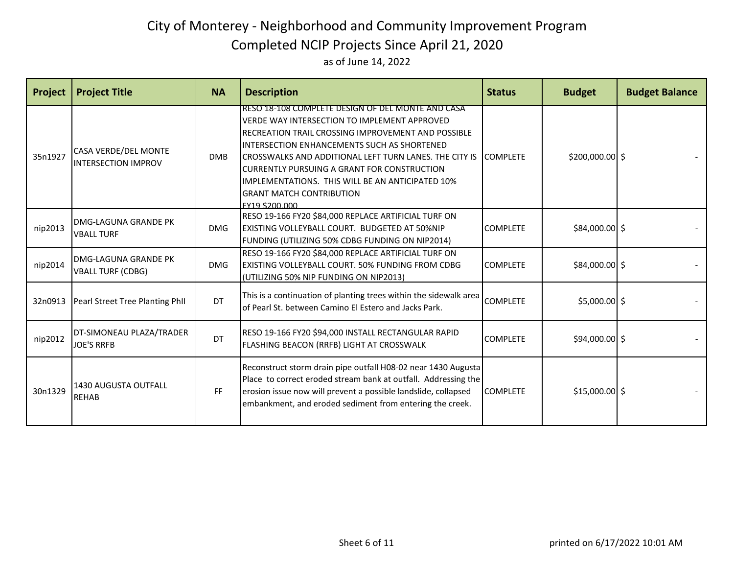as of June 14, 2022

| Project | <b>Project Title</b>                                      | <b>NA</b>  | <b>Description</b>                                                                                                                                                                                                                                                                                                                                                                                                                          | <b>Status</b>   | <b>Budget</b>   | <b>Budget Balance</b> |
|---------|-----------------------------------------------------------|------------|---------------------------------------------------------------------------------------------------------------------------------------------------------------------------------------------------------------------------------------------------------------------------------------------------------------------------------------------------------------------------------------------------------------------------------------------|-----------------|-----------------|-----------------------|
| 35n1927 | <b>CASA VERDE/DEL MONTE</b><br><b>INTERSECTION IMPROV</b> | <b>DMB</b> | RESO 18-108 COMPLETE DESIGN OF DEL MONTE AND CASA<br>VERDE WAY INTERSECTION TO IMPLEMENT APPROVED<br>RECREATION TRAIL CROSSING IMPROVEMENT AND POSSIBLE<br>INTERSECTION ENHANCEMENTS SUCH AS SHORTENED<br>ICROSSWALKS AND ADDITIONAL LEFT TURN LANES. THE CITY IS ICOMPLETE<br><b>ICURRENTLY PURSUING A GRANT FOR CONSTRUCTION</b><br>IMPLEMENTATIONS. THIS WILL BE AN ANTICIPATED 10%<br><b>GRANT MATCH CONTRIBUTION</b><br>FY19 \$200,000 |                 | \$200,000.00 \$ |                       |
| nip2013 | <b>IDMG-LAGUNA GRANDE PK</b><br><b>VBALL TURF</b>         | <b>DMG</b> | RESO 19-166 FY20 \$84,000 REPLACE ARTIFICIAL TURF ON<br>EXISTING VOLLEYBALL COURT. BUDGETED AT 50%NIP<br>FUNDING (UTILIZING 50% CDBG FUNDING ON NIP2014)                                                                                                                                                                                                                                                                                    | <b>COMPLETE</b> | \$84,000.00 \$  |                       |
| nip2014 | <b>IDMG-LAGUNA GRANDE PK</b><br><b>VBALL TURF (CDBG)</b>  | <b>DMG</b> | RESO 19-166 FY20 \$84,000 REPLACE ARTIFICIAL TURF ON<br>EXISTING VOLLEYBALL COURT. 50% FUNDING FROM CDBG<br>(UTILIZING 50% NIP FUNDING ON NIP2013)                                                                                                                                                                                                                                                                                          | <b>COMPLETE</b> | \$84,000.00 \$  |                       |
| 32n0913 | Pearl Street Tree Planting Phil                           | DT         | This is a continuation of planting trees within the sidewalk area<br>of Pearl St. between Camino El Estero and Jacks Park.                                                                                                                                                                                                                                                                                                                  | <b>COMPLETE</b> | $$5,000.00$ \$  |                       |
| nip2012 | DT-SIMONEAU PLAZA/TRADER<br><b>JOE'S RRFB</b>             | DT         | RESO 19-166 FY20 \$94,000 INSTALL RECTANGULAR RAPID<br>FLASHING BEACON (RRFB) LIGHT AT CROSSWALK                                                                                                                                                                                                                                                                                                                                            | <b>COMPLETE</b> | \$94,000.00 \$  |                       |
| 30n1329 | 1430 AUGUSTA OUTFALL<br><b>REHAB</b>                      | FF         | Reconstruct storm drain pipe outfall H08-02 near 1430 Augusta<br>Place to correct eroded stream bank at outfall. Addressing the<br>erosion issue now will prevent a possible landslide, collapsed<br>embankment, and eroded sediment from entering the creek.                                                                                                                                                                               | <b>COMPLETE</b> | $$15,000.00$ \$ |                       |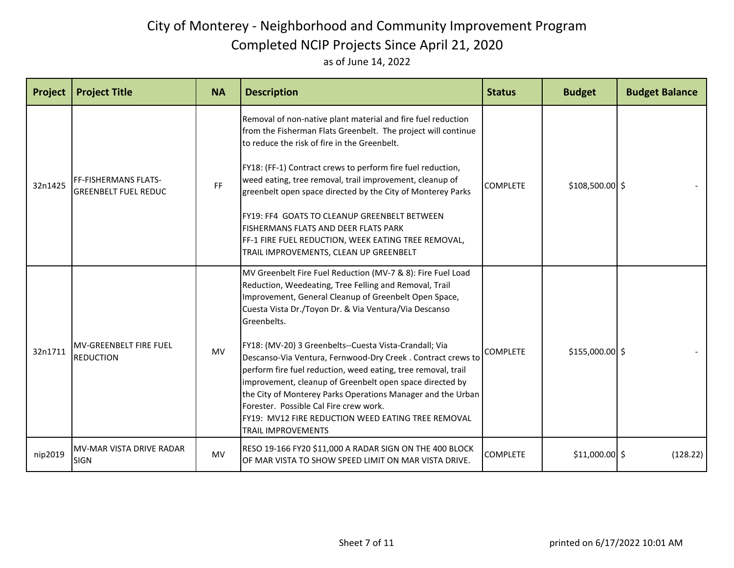| Project | <b>Project Title</b>                                       | <b>NA</b> | <b>Description</b>                                                                                                                                                                                                                                                                                                                                                                                                                                                                                                                                                                                                                                                                                | <b>Status</b>   | <b>Budget</b>    | <b>Budget Balance</b> |
|---------|------------------------------------------------------------|-----------|---------------------------------------------------------------------------------------------------------------------------------------------------------------------------------------------------------------------------------------------------------------------------------------------------------------------------------------------------------------------------------------------------------------------------------------------------------------------------------------------------------------------------------------------------------------------------------------------------------------------------------------------------------------------------------------------------|-----------------|------------------|-----------------------|
| 32n1425 | <b>FF-FISHERMANS FLATS-</b><br><b>GREENBELT FUEL REDUC</b> | <b>FF</b> | Removal of non-native plant material and fire fuel reduction<br>from the Fisherman Flats Greenbelt. The project will continue<br>to reduce the risk of fire in the Greenbelt.<br>FY18: (FF-1) Contract crews to perform fire fuel reduction,<br>weed eating, tree removal, trail improvement, cleanup of<br>greenbelt open space directed by the City of Monterey Parks<br><b>FY19: FF4 GOATS TO CLEANUP GREENBELT BETWEEN</b><br><b>FISHERMANS FLATS AND DEER FLATS PARK</b><br>FF-1 FIRE FUEL REDUCTION, WEEK EATING TREE REMOVAL,<br>TRAIL IMPROVEMENTS, CLEAN UP GREENBELT                                                                                                                    | <b>COMPLETE</b> | $$108,500.00$ \$ |                       |
| 32n1711 | <b>MV-GREENBELT FIRE FUEL</b><br><b>REDUCTION</b>          | <b>MV</b> | MV Greenbelt Fire Fuel Reduction (MV-7 & 8): Fire Fuel Load<br>Reduction, Weedeating, Tree Felling and Removal, Trail<br>Improvement, General Cleanup of Greenbelt Open Space,<br>Cuesta Vista Dr./Toyon Dr. & Via Ventura/Via Descanso<br>Greenbelts.<br>FY18: (MV-20) 3 Greenbelts--Cuesta Vista-Crandall; Via<br>Descanso-Via Ventura, Fernwood-Dry Creek. Contract crews to<br>perform fire fuel reduction, weed eating, tree removal, trail<br>improvement, cleanup of Greenbelt open space directed by<br>the City of Monterey Parks Operations Manager and the Urban<br>Forester. Possible Cal Fire crew work.<br>FY19: MV12 FIRE REDUCTION WEED EATING TREE REMOVAL<br>TRAIL IMPROVEMENTS | <b>COMPLETE</b> | $$155,000.00$ \$ |                       |
| nip2019 | MV-MAR VISTA DRIVE RADAR<br><b>SIGN</b>                    | <b>MV</b> | RESO 19-166 FY20 \$11,000 A RADAR SIGN ON THE 400 BLOCK<br>OF MAR VISTA TO SHOW SPEED LIMIT ON MAR VISTA DRIVE.                                                                                                                                                                                                                                                                                                                                                                                                                                                                                                                                                                                   | <b>COMPLETE</b> | $$11,000.00$ \$  | (128.22)              |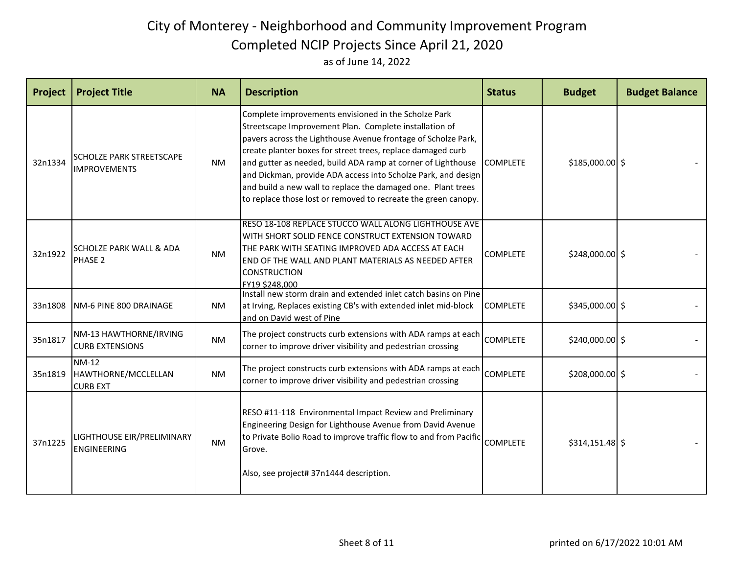| Project | <b>Project Title</b>                                   | <b>NA</b> | <b>Description</b>                                                                                                                                                                                                                                                                                                                                                                                                                                                                                                         | <b>Status</b>   | <b>Budget</b>    | <b>Budget Balance</b> |
|---------|--------------------------------------------------------|-----------|----------------------------------------------------------------------------------------------------------------------------------------------------------------------------------------------------------------------------------------------------------------------------------------------------------------------------------------------------------------------------------------------------------------------------------------------------------------------------------------------------------------------------|-----------------|------------------|-----------------------|
| 32n1334 | <b>SCHOLZE PARK STREETSCAPE</b><br><b>IMPROVEMENTS</b> | <b>NM</b> | Complete improvements envisioned in the Scholze Park<br>Streetscape Improvement Plan. Complete installation of<br>pavers across the Lighthouse Avenue frontage of Scholze Park,<br>create planter boxes for street trees, replace damaged curb<br>and gutter as needed, build ADA ramp at corner of Lighthouse COMPLETE<br>and Dickman, provide ADA access into Scholze Park, and design<br>and build a new wall to replace the damaged one. Plant trees<br>to replace those lost or removed to recreate the green canopy. |                 | \$185,000.00 \$  |                       |
| 32n1922 | <b>SCHOLZE PARK WALL &amp; ADA</b><br>PHASE 2          | <b>NM</b> | RESO 18-108 REPLACE STUCCO WALL ALONG LIGHTHOUSE AVE<br>WITH SHORT SOLID FENCE CONSTRUCT EXTENSION TOWARD<br>THE PARK WITH SEATING IMPROVED ADA ACCESS AT EACH<br>END OF THE WALL AND PLANT MATERIALS AS NEEDED AFTER<br><b>CONSTRUCTION</b><br>FY19 \$248,000                                                                                                                                                                                                                                                             | <b>COMPLETE</b> | \$248,000.00 \$  |                       |
| 33n1808 | INM-6 PINE 800 DRAINAGE                                | <b>NM</b> | Install new storm drain and extended inlet catch basins on Pine<br>at Irving, Replaces existing CB's with extended inlet mid-block<br>and on David west of Pine                                                                                                                                                                                                                                                                                                                                                            | <b>COMPLETE</b> | \$345,000.00 \$  |                       |
| 35n1817 | NM-13 HAWTHORNE/IRVING<br><b>CURB EXTENSIONS</b>       | <b>NM</b> | The project constructs curb extensions with ADA ramps at each<br>corner to improve driver visibility and pedestrian crossing                                                                                                                                                                                                                                                                                                                                                                                               | <b>COMPLETE</b> | \$240,000.00 \$  |                       |
| 35n1819 | <b>NM-12</b><br>HAWTHORNE/MCCLELLAN<br><b>CURB EXT</b> | <b>NM</b> | The project constructs curb extensions with ADA ramps at each<br>corner to improve driver visibility and pedestrian crossing                                                                                                                                                                                                                                                                                                                                                                                               | <b>COMPLETE</b> | $$208,000.00$ \$ |                       |
| 37n1225 | LIGHTHOUSE EIR/PRELIMINARY<br><b>ENGINEERING</b>       | <b>NM</b> | RESO #11-118 Environmental Impact Review and Preliminary<br>Engineering Design for Lighthouse Avenue from David Avenue<br>to Private Bolio Road to improve traffic flow to and from Pacific<br>Grove.<br>Also, see project# 37n1444 description.                                                                                                                                                                                                                                                                           | <b>COMPLETE</b> | $$314,151.48$ \$ |                       |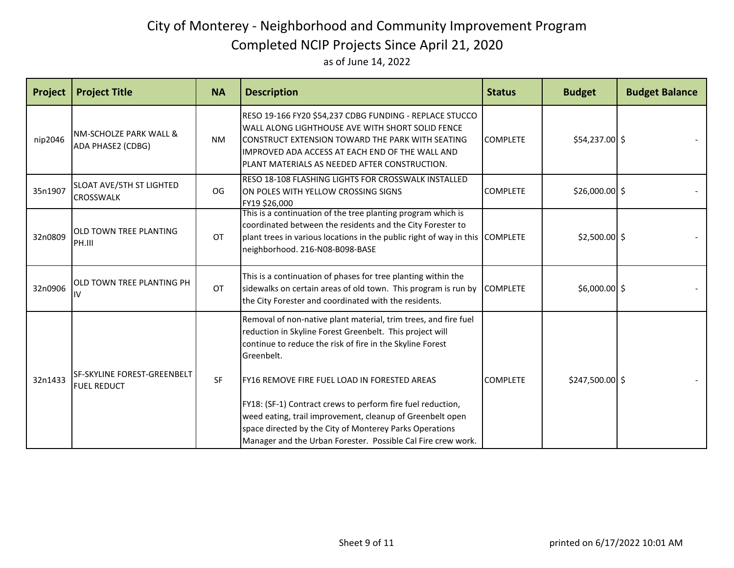| <b>Project</b> | <b>Project Title</b>                               | <b>NA</b> | <b>Description</b>                                                                                                                                                                                                                                                                                                                                                                                                                                                                                            | <b>Status</b>   | <b>Budget</b>    | <b>Budget Balance</b> |
|----------------|----------------------------------------------------|-----------|---------------------------------------------------------------------------------------------------------------------------------------------------------------------------------------------------------------------------------------------------------------------------------------------------------------------------------------------------------------------------------------------------------------------------------------------------------------------------------------------------------------|-----------------|------------------|-----------------------|
| nip2046        | INM-SCHOLZE PARK WALL &<br>ADA PHASE2 (CDBG)       | <b>NM</b> | RESO 19-166 FY20 \$54,237 CDBG FUNDING - REPLACE STUCCO<br>WALL ALONG LIGHTHOUSE AVE WITH SHORT SOLID FENCE<br>CONSTRUCT EXTENSION TOWARD THE PARK WITH SEATING<br>IMPROVED ADA ACCESS AT EACH END OF THE WALL AND<br>IPLANT MATERIALS AS NEEDED AFTER CONSTRUCTION.                                                                                                                                                                                                                                          | <b>COMPLETE</b> | \$54,237.00 \$   |                       |
| 35n1907        | SLOAT AVE/5TH ST LIGHTED<br><b>CROSSWALK</b>       | OG        | RESO 18-108 FLASHING LIGHTS FOR CROSSWALK INSTALLED<br>ON POLES WITH YELLOW CROSSING SIGNS<br>FY19 \$26,000                                                                                                                                                                                                                                                                                                                                                                                                   | <b>COMPLETE</b> | $$26,000.00$ \$  |                       |
| 32n0809        | <b>OLD TOWN TREE PLANTING</b><br>PH.III            | OT        | This is a continuation of the tree planting program which is<br>coordinated between the residents and the City Forester to<br>plant trees in various locations in the public right of way in this COMPLETE<br>neighborhood. 216-N08-B098-BASE                                                                                                                                                                                                                                                                 |                 | $$2,500.00$ \$   |                       |
| 32n0906        | IOLD TOWN TREE PLANTING PH<br>IIV                  | <b>OT</b> | This is a continuation of phases for tree planting within the<br>sidewalks on certain areas of old town. This program is run by COMPLETE<br>the City Forester and coordinated with the residents.                                                                                                                                                                                                                                                                                                             |                 | $$6,000.00$ \$   |                       |
| 32n1433        | lsf-skyline forest-greenbelt<br><b>FUEL REDUCT</b> | SF        | Removal of non-native plant material, trim trees, and fire fuel<br>reduction in Skyline Forest Greenbelt. This project will<br>continue to reduce the risk of fire in the Skyline Forest<br>Greenbelt.<br>FY16 REMOVE FIRE FUEL LOAD IN FORESTED AREAS<br>FY18: (SF-1) Contract crews to perform fire fuel reduction,<br>weed eating, trail improvement, cleanup of Greenbelt open<br>space directed by the City of Monterey Parks Operations<br>Manager and the Urban Forester. Possible Cal Fire crew work. | <b>COMPLETE</b> | $$247,500.00$ \$ |                       |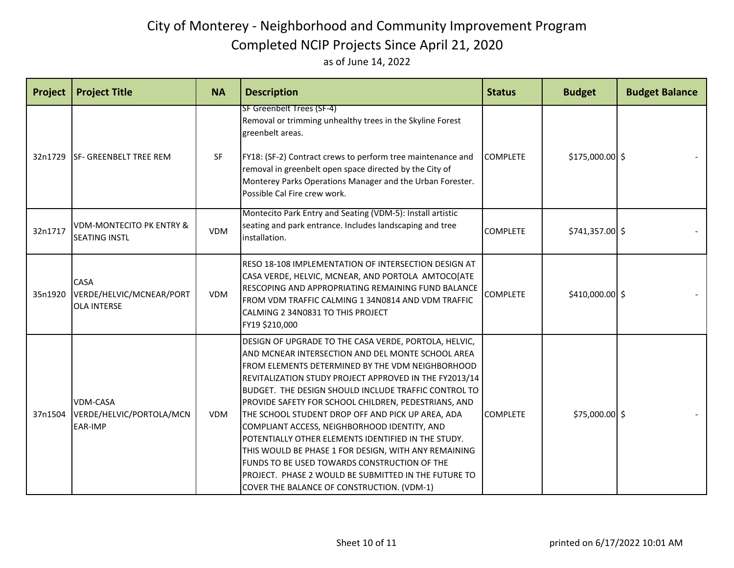| <b>Project</b> | <b>Project Title</b>                                          | <b>NA</b>  | <b>Description</b>                                                                                                                                                                                                                                                                                                                                                                                                                                                                                                                                                                                                                                                                                                        | <b>Status</b>   | <b>Budget</b>    | <b>Budget Balance</b> |
|----------------|---------------------------------------------------------------|------------|---------------------------------------------------------------------------------------------------------------------------------------------------------------------------------------------------------------------------------------------------------------------------------------------------------------------------------------------------------------------------------------------------------------------------------------------------------------------------------------------------------------------------------------------------------------------------------------------------------------------------------------------------------------------------------------------------------------------------|-----------------|------------------|-----------------------|
| 32n1729        | <b>SF- GREENBELT TREE REM</b>                                 | <b>SF</b>  | SF Greenbelt Trees (SF-4)<br>Removal or trimming unhealthy trees in the Skyline Forest<br>greenbelt areas.<br>FY18: (SF-2) Contract crews to perform tree maintenance and<br>removal in greenbelt open space directed by the City of<br>Monterey Parks Operations Manager and the Urban Forester.<br>Possible Cal Fire crew work.                                                                                                                                                                                                                                                                                                                                                                                         | <b>COMPLETE</b> | \$175,000.00 \$  |                       |
| 32n1717        | <b>VDM-MONTECITO PK ENTRY &amp;</b><br><b>SEATING INSTL</b>   | <b>VDM</b> | Montecito Park Entry and Seating (VDM-5): Install artistic<br>seating and park entrance. Includes landscaping and tree<br>installation.                                                                                                                                                                                                                                                                                                                                                                                                                                                                                                                                                                                   | <b>COMPLETE</b> | $$741,357.00$ \$ |                       |
| 35n1920        | <b>CASA</b><br>VERDE/HELVIC/MCNEAR/PORT<br><b>OLA INTERSE</b> | <b>VDM</b> | RESO 18-108 IMPLEMENTATION OF INTERSECTION DESIGN AT<br>CASA VERDE, HELVIC, MCNEAR, AND PORTOLA AMTOCO[ATE<br>RESCOPING AND APPROPRIATING REMAINING FUND BALANCE<br>FROM VDM TRAFFIC CALMING 1 34N0814 AND VDM TRAFFIC<br>CALMING 2 34N0831 TO THIS PROJECT<br>FY19 \$210,000                                                                                                                                                                                                                                                                                                                                                                                                                                             | <b>COMPLETE</b> | \$410,000.00 \$  |                       |
| 37n1504        | <b>VDM-CASA</b><br>VERDE/HELVIC/PORTOLA/MCN<br><b>EAR-IMP</b> | <b>VDM</b> | DESIGN OF UPGRADE TO THE CASA VERDE, PORTOLA, HELVIC,<br>AND MCNEAR INTERSECTION AND DEL MONTE SCHOOL AREA<br>FROM ELEMENTS DETERMINED BY THE VDM NEIGHBORHOOD<br>REVITALIZATION STUDY PROJECT APPROVED IN THE FY2013/14<br>BUDGET. THE DESIGN SHOULD INCLUDE TRAFFIC CONTROL TO<br>PROVIDE SAFETY FOR SCHOOL CHILDREN, PEDESTRIANS, AND<br>THE SCHOOL STUDENT DROP OFF AND PICK UP AREA, ADA<br>COMPLIANT ACCESS, NEIGHBORHOOD IDENTITY, AND<br>POTENTIALLY OTHER ELEMENTS IDENTIFIED IN THE STUDY.<br>THIS WOULD BE PHASE 1 FOR DESIGN, WITH ANY REMAINING<br><b>FUNDS TO BE USED TOWARDS CONSTRUCTION OF THE</b><br>PROJECT. PHASE 2 WOULD BE SUBMITTED IN THE FUTURE TO<br>COVER THE BALANCE OF CONSTRUCTION. (VDM-1) | <b>COMPLETE</b> | \$75,000.00 \$   |                       |